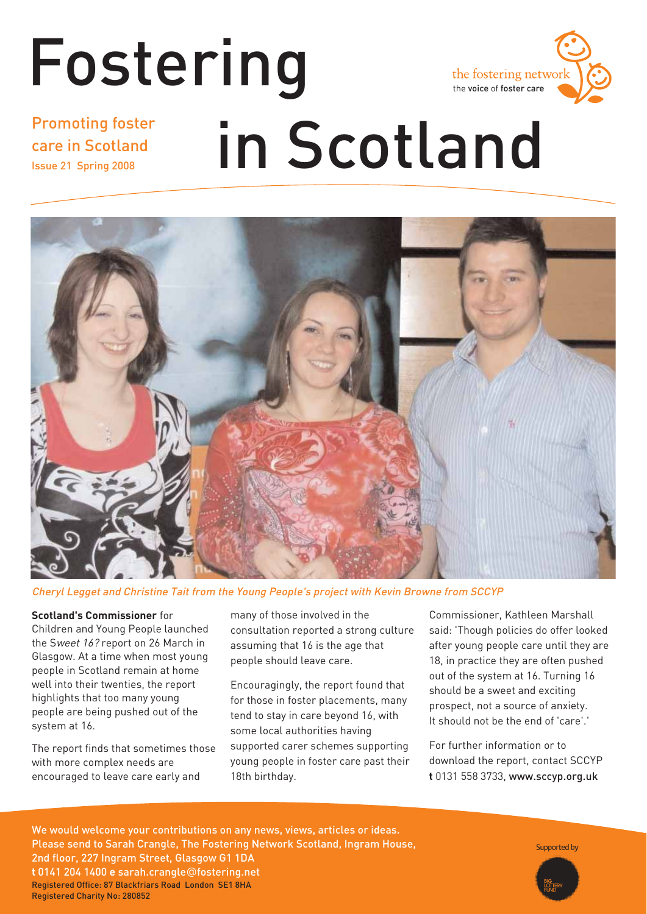### Fostering the fostering networ the voice of foster care Promoting foster in Scotland care in Scotland Issue 21 Spring 2008



Cheryl Legget and Christine Tait from the Young People's project with Kevin Browne from SCCYP

#### **Scotland's Commissioner** for

Children and Young People launched the Sweet 16? report on 26 March in Glasgow. At a time when most young people in Scotland remain at home well into their twenties, the report highlights that too many young people are being pushed out of the system at 16.

The report finds that sometimes those with more complex needs are encouraged to leave care early and

many of those involved in the consultation reported a strong culture assuming that 16 is the age that people should leave care.

Encouragingly, the report found that for those in foster placements, many tend to stay in care beyond 16, with some local authorities having supported carer schemes supporting young people in foster care past their 18th birthday.

Commissioner, Kathleen Marshall said: 'Though policies do offer looked after young people care until they are 18, in practice they are often pushed out of the system at 16. Turning 16 should be a sweet and exciting prospect, not a source of anxiety. It should not be the end of 'care'.'

For further information or to download the report, contact SCCYP **t** 0131 558 3733, www.sccyp.org.uk

We would welcome your contributions on any news, views, articles or ideas. Please send to Sarah Crangle, The Fostering Network Scotland, Ingram House, 2nd floor, 227 Ingram Street, Glasgow G1 1DA **t** 0141 204 1400 **e** sarah.crangle@fostering.net Registered Office: 87 Blackfriars Road London SE1 8HA Registered Charity No: 280852

Supported by

Fostering in Scotland **1**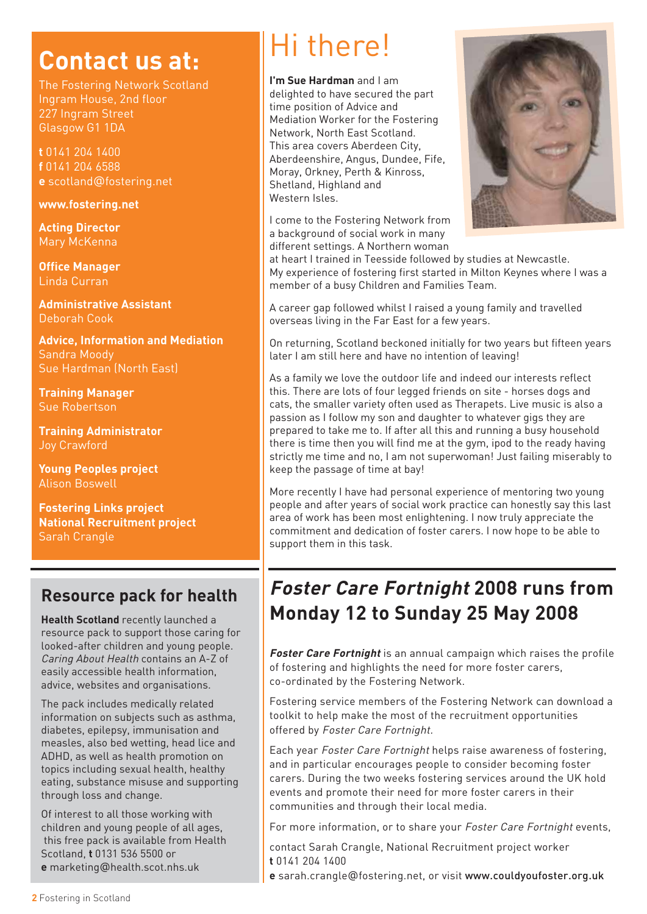## **Contact us at:**

The Fostering Network Scotland Ingram House, 2nd floor 227 Ingram Street Glasgow G1 1DA

**t** 0141 204 1400 **f** 0141 204 6588 **e** scotland@fostering.net

#### **www.fostering.net**

**Acting Director**  Mary McKenna

**Office Manager** Linda Curran

**Administrative Assistant**  Deborah Cook

**Advice, Information and Mediation**  Sandra Moody Sue Hardman (North East)

**Training Manager** Sue Robertson

**Training Administrator**  Joy Crawford

**Young Peoples project** Alison Boswell

**Fostering Links project National Recruitment project** Sarah Crangle

### **Resource pack for health**

**Health Scotland** recently launched a resource pack to support those caring for looked-after children and young people. Caring About Health contains an A-Z of easily accessible health information, advice, websites and organisations.

The pack includes medically related information on subjects such as asthma, diabetes, epilepsy, immunisation and measles, also bed wetting, head lice and ADHD, as well as health promotion on topics including sexual health, healthy eating, substance misuse and supporting through loss and change.

Of interest to all those working with children and young people of all ages, this free pack is available from Health Scotland, **t** 0131 536 5500 or **e** marketing@health.scot.nhs.uk

## Hi there!

**I'm Sue Hardman** and I am delighted to have secured the part time position of Advice and Mediation Worker for the Fostering Network, North East Scotland. This area covers Aberdeen City, Aberdeenshire, Angus, Dundee, Fife, Moray, Orkney, Perth & Kinross, Shetland, Highland and Western Isles.

I come to the Fostering Network from a background of social work in many different settings. A Northern woman



at heart I trained in Teesside followed by studies at Newcastle. My experience of fostering first started in Milton Keynes where I was a member of a busy Children and Families Team.

A career gap followed whilst I raised a young family and travelled overseas living in the Far East for a few years.

On returning, Scotland beckoned initially for two years but fifteen years later I am still here and have no intention of leaving!

As a family we love the outdoor life and indeed our interests reflect this. There are lots of four legged friends on site - horses dogs and cats, the smaller variety often used as Therapets. Live music is also a passion as I follow my son and daughter to whatever gigs they are prepared to take me to. If after all this and running a busy household there is time then you will find me at the gym, ipod to the ready having strictly me time and no, I am not superwoman! Just failing miserably to keep the passage of time at bay!

More recently I have had personal experience of mentoring two young people and after years of social work practice can honestly say this last area of work has been most enlightening. I now truly appreciate the commitment and dedication of foster carers. I now hope to be able to support them in this task.

## **Foster Care Fortnight 2008 runs from Monday 12 to Sunday 25 May 2008**

**Foster Care Fortnight** is an annual campaign which raises the profile of fostering and highlights the need for more foster carers, co-ordinated by the Fostering Network.

Fostering service members of the Fostering Network can download a toolkit to help make the most of the recruitment opportunities offered by Foster Care Fortnight.

Each year Foster Care Fortnight helps raise awareness of fostering, and in particular encourages people to consider becoming foster carers. During the two weeks fostering services around the UK hold events and promote their need for more foster carers in their communities and through their local media.

For more information, or to share your Foster Care Fortnight events,

contact Sarah Crangle, National Recruitment project worker **t** 0141 204 1400

**e** sarah.crangle@fostering.net, or visit www.couldyoufoster.org.uk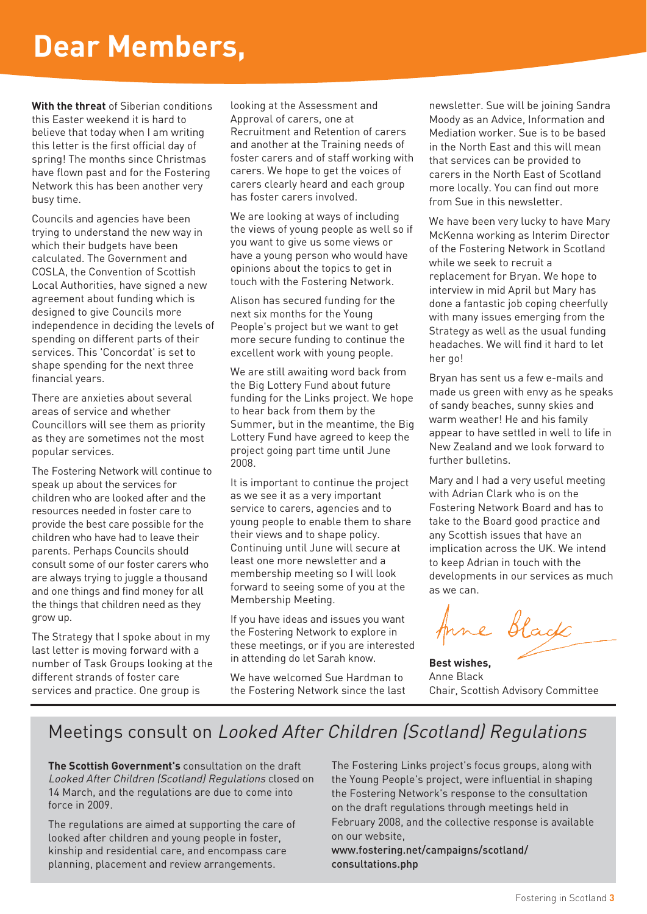## **Dear Members,**

**With the threat** of Siberian conditions this Easter weekend it is hard to believe that today when I am writing this letter is the first official day of spring! The months since Christmas have flown past and for the Fostering Network this has been another very busy time.

Councils and agencies have been trying to understand the new way in which their budgets have been calculated. The Government and COSLA, the Convention of Scottish Local Authorities, have signed a new agreement about funding which is designed to give Councils more independence in deciding the levels of spending on different parts of their services. This 'Concordat' is set to shape spending for the next three financial years.

There are anxieties about several areas of service and whether Councillors will see them as priority as they are sometimes not the most popular services.

The Fostering Network will continue to speak up about the services for children who are looked after and the resources needed in foster care to provide the best care possible for the children who have had to leave their parents. Perhaps Councils should consult some of our foster carers who are always trying to juggle a thousand and one things and find money for all the things that children need as they grow up.

The Strategy that I spoke about in my last letter is moving forward with a number of Task Groups looking at the different strands of foster care services and practice. One group is

looking at the Assessment and Approval of carers, one at Recruitment and Retention of carers and another at the Training needs of foster carers and of staff working with carers. We hope to get the voices of carers clearly heard and each group has foster carers involved.

We are looking at ways of including the views of young people as well so if you want to give us some views or have a young person who would have opinions about the topics to get in touch with the Fostering Network.

Alison has secured funding for the next six months for the Young People's project but we want to get more secure funding to continue the excellent work with young people.

We are still awaiting word back from the Big Lottery Fund about future funding for the Links project. We hope to hear back from them by the Summer, but in the meantime, the Big Lottery Fund have agreed to keep the project going part time until June 2008.

It is important to continue the project as we see it as a very important service to carers, agencies and to young people to enable them to share their views and to shape policy. Continuing until June will secure at least one more newsletter and a membership meeting so I will look forward to seeing some of you at the Membership Meeting.

If you have ideas and issues you want the Fostering Network to explore in these meetings, or if you are interested in attending do let Sarah know.

We have welcomed Sue Hardman to the Fostering Network since the last newsletter. Sue will be joining Sandra Moody as an Advice, Information and Mediation worker. Sue is to be based in the North East and this will mean that services can be provided to carers in the North East of Scotland more locally. You can find out more from Sue in this newsletter.

We have been very lucky to have Mary McKenna working as Interim Director of the Fostering Network in Scotland while we seek to recruit a replacement for Bryan. We hope to interview in mid April but Mary has done a fantastic job coping cheerfully with many issues emerging from the Strategy as well as the usual funding headaches. We will find it hard to let her go!

Bryan has sent us a few e-mails and made us green with envy as he speaks of sandy beaches, sunny skies and warm weather! He and his family appear to have settled in well to life in New Zealand and we look forward to further bulletins.

Mary and I had a very useful meeting with Adrian Clark who is on the Fostering Network Board and has to take to the Board good practice and any Scottish issues that have an implication across the UK. We intend to keep Adrian in touch with the developments in our services as much as we can.

Anne Black

**Best wishes,** Anne Black Chair, Scottish Advisory Committee

### Meetings consult on Looked After Children (Scotland) Regulations

**The Scottish Government's** consultation on the draft Looked After Children (Scotland) Regulations closed on 14 March, and the regulations are due to come into force in 2009.

The regulations are aimed at supporting the care of looked after children and young people in foster, kinship and residential care, and encompass care planning, placement and review arrangements.

The Fostering Links project's focus groups, along with the Young People's project, were influential in shaping the Fostering Network's response to the consultation on the draft regulations through meetings held in February 2008, and the collective response is available on our website,

www.fostering.net/campaigns/scotland/ consultations.php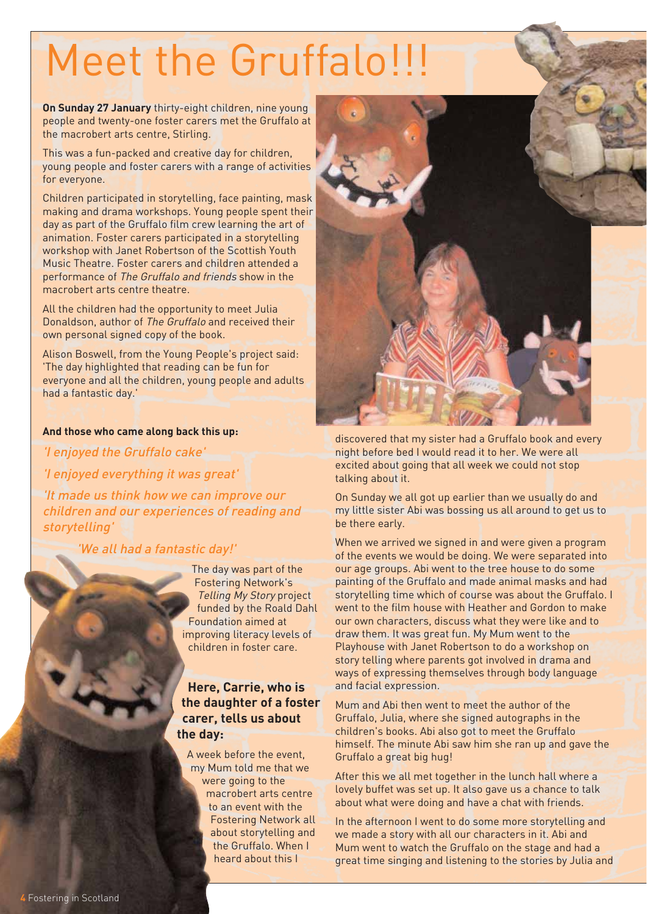# Meet the Gruffalo!!!

**On Sunday 27 January** thirty-eight children, nine young people and twenty-one foster carers met the Gruffalo at the macrobert arts centre, Stirling.

This was a fun-packed and creative day for children, young people and foster carers with a range of activities for everyone.

Children participated in storytelling, face painting, mask making and drama workshops. Young people spent their day as part of the Gruffalo film crew learning the art of animation. Foster carers participated in a storytelling workshop with Janet Robertson of the Scottish Youth Music Theatre. Foster carers and children attended a performance of The Gruffalo and friends show in the macrobert arts centre theatre.

All the children had the opportunity to meet Julia Donaldson, author of The Gruffalo and received their own personal signed copy of the book.

Alison Boswell, from the Young People's project said: 'The day highlighted that reading can be fun for everyone and all the children, young people and adults had a fantastic day.'

#### **And those who came along back this up:**

'I enjoyed the Gruffalo cake' 'I enjoyed everything it was great'

'It made us think how we can improve our children and our experiences of reading and storytelling'

'We all had a fantastic day!'

The day was part of the Fostering Network's Telling My Story project funded by the Roald Dahl Foundation aimed at improving literacy levels of children in foster care.

#### **Here, Carrie, who is the daughter of a foster carer, tells us about the day:**

A week before the event, my Mum told me that we were going to the macrobert arts centre to an event with the Fostering Network all about storytelling and the Gruffalo. When I heard about this I



discovered that my sister had a Gruffalo book and every night before bed I would read it to her. We were all excited about going that all week we could not stop talking about it.

On Sunday we all got up earlier than we usually do and my little sister Abi was bossing us all around to get us to be there early.

When we arrived we signed in and were given a program of the events we would be doing. We were separated into our age groups. Abi went to the tree house to do some painting of the Gruffalo and made animal masks and had storytelling time which of course was about the Gruffalo. I went to the film house with Heather and Gordon to make our own characters, discuss what they were like and to draw them. It was great fun. My Mum went to the Playhouse with Janet Robertson to do a workshop on story telling where parents got involved in drama and ways of expressing themselves through body language and facial expression.

Mum and Abi then went to meet the author of the Gruffalo, Julia, where she signed autographs in the children's books. Abi also got to meet the Gruffalo himself. The minute Abi saw him she ran up and gave the Gruffalo a great big hug!

After this we all met together in the lunch hall where a lovely buffet was set up. It also gave us a chance to talk about what were doing and have a chat with friends.

In the afternoon I went to do some more storytelling and we made a story with all our characters in it. Abi and Mum went to watch the Gruffalo on the stage and had a great time singing and listening to the stories by Julia and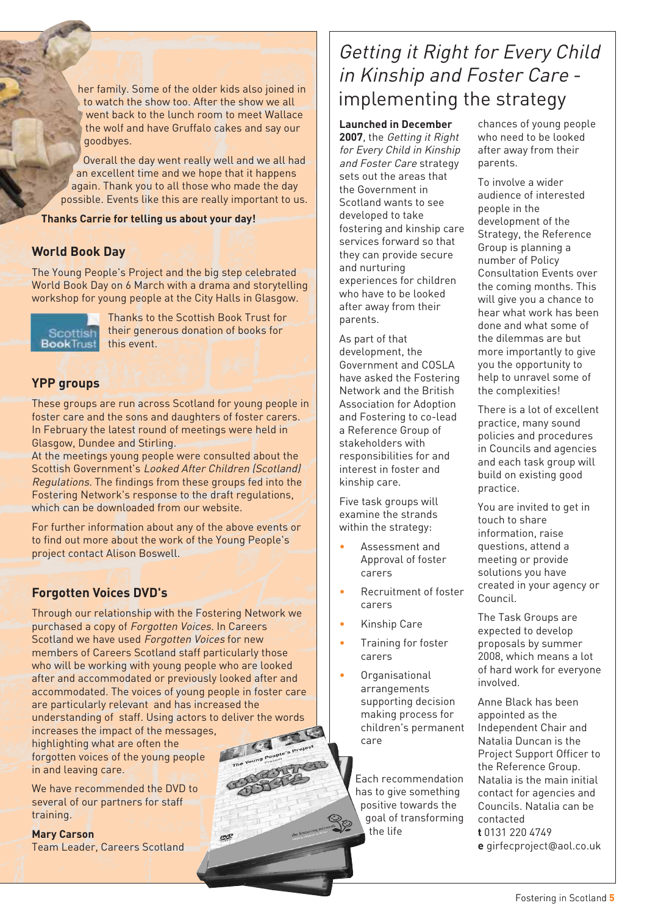her family. Some of the older kids also joined in to watch the show too. After the show we all went back to the lunch room to meet Wallace the wolf and have Gruffalo cakes and say our goodbyes.

Overall the day went really well and we all had an excellent time and we hope that it happens again. Thank you to all those who made the day possible. Events like this are really important to us.

**Thanks Carrie for telling us about your day!**

#### **World Book Day**

The Young People's Project and the big step celebrated World Book Day on 6 March with a drama and storytelling workshop for young people at the City Halls in Glasgow.



Thanks to the Scottish Book Trust for their generous donation of books for this event.

#### **YPP groups**

These groups are run across Scotland for young people in foster care and the sons and daughters of foster carers. In February the latest round of meetings were held in Glasgow, Dundee and Stirling.

At the meetings young people were consulted about the Scottish Government's Looked After Children (Scotland) Regulations. The findings from these groups fed into the Fostering Network's response to the draft regulations, which can be downloaded from our website.

For further information about any of the above events or to find out more about the work of the Young People's project contact Alison Boswell.

#### **Forgotten Voices DVD's**

Through our relationship with the Fostering Network we purchased a copy of Forgotten Voices. In Careers Scotland we have used Forgotten Voices for new members of Careers Scotland staff particularly those who will be working with young people who are looked after and accommodated or previously looked after and accommodated. The voices of young people in foster care are particularly relevant and has increased the understanding of staff. Using actors to deliver the words

ore

increases the impact of the messages, highlighting what are often the forgotten voices of the young people in and leaving care.

We have recommended the DVD to several of our partners for staff training.

#### **Mary Carson**

Team Leader, Careers Scotland

## Getting it Right for Every Child in Kinship and Foster Care implementing the strategy

**Launched in December**

**2007**, the Getting it Right for Every Child in Kinship and Foster Care strategy sets out the areas that the Government in Scotland wants to see developed to take fostering and kinship care services forward so that they can provide secure and nurturing experiences for children who have to be looked after away from their parents.

As part of that development, the Government and COSLA have asked the Fostering Network and the British Association for Adoption and Fostering to co-lead a Reference Group of stakeholders with responsibilities for and interest in foster and kinship care.

Five task groups will examine the strands within the strategy:

- Assessment and Approval of foster carers
- Recruitment of foster carers
- Kinship Care
- Training for foster carers
- Organisational arrangements supporting decision making process for children's permanent care

Each recommendation has to give something positive towards the goal of transforming the life

chances of young people who need to be looked after away from their parents.

To involve a wider audience of interested people in the development of the Strategy, the Reference Group is planning a number of Policy Consultation Events over the coming months. This will give you a chance to hear what work has been done and what some of the dilemmas are but more importantly to give you the opportunity to help to unravel some of the complexities!

There is a lot of excellent practice, many sound policies and procedures in Councils and agencies and each task group will build on existing good practice.

You are invited to get in touch to share information, raise questions, attend a meeting or provide solutions you have created in your agency or Council.

The Task Groups are expected to develop proposals by summer 2008, which means a lot of hard work for everyone involved.

Anne Black has been appointed as the Independent Chair and Natalia Duncan is the Project Support Officer to the Reference Group. Natalia is the main initial contact for agencies and Councils. Natalia can be contacted **t** 0131 220 4749

**e** girfecproject@aol.co.uk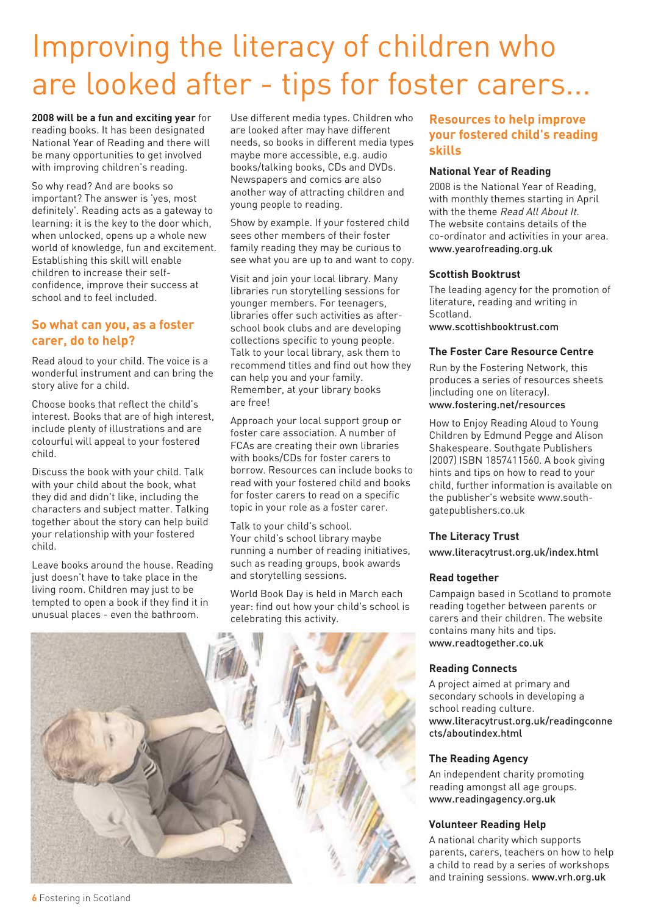## Improving the literacy of children who are looked after - tips for foster carers...

**2008 will be a fun and exciting year** for reading books. It has been designated National Year of Reading and there will be many opportunities to get involved with improving children's reading.

So why read? And are books so important? The answer is 'yes, most definitely'. Reading acts as a gateway to learning: it is the key to the door which, when unlocked, opens up a whole new world of knowledge, fun and excitement. Establishing this skill will enable children to increase their selfconfidence, improve their success at school and to feel included.

#### **So what can you, as a foster carer, do to help?**

Read aloud to your child. The voice is a wonderful instrument and can bring the story alive for a child.

Choose books that reflect the child's interest. Books that are of high interest, include plenty of illustrations and are colourful will appeal to your fostered child.

Discuss the book with your child. Talk with your child about the book, what they did and didn't like, including the characters and subject matter. Talking together about the story can help build your relationship with your fostered child.

Leave books around the house. Reading just doesn't have to take place in the living room. Children may just to be tempted to open a book if they find it in unusual places - even the bathroom.

Use different media types. Children who are looked after may have different needs, so books in different media types maybe more accessible, e.g. audio books/talking books, CDs and DVDs. Newspapers and comics are also another way of attracting children and young people to reading.

Show by example. If your fostered child sees other members of their foster family reading they may be curious to see what you are up to and want to copy.

Visit and join your local library. Many libraries run storytelling sessions for younger members. For teenagers, libraries offer such activities as afterschool book clubs and are developing collections specific to young people. Talk to your local library, ask them to recommend titles and find out how they can help you and your family. Remember, at your library books are free!

Approach your local support group or foster care association. A number of FCAs are creating their own libraries with books/CDs for foster carers to borrow. Resources can include books to read with your fostered child and books for foster carers to read on a specific topic in your role as a foster carer.

Talk to your child's school. Your child's school library maybe running a number of reading initiatives, such as reading groups, book awards and storytelling sessions.

World Book Day is held in March each year: find out how your child's school is celebrating this activity.



#### **Resources to help improve your fostered child's reading skills**

#### **National Year of Reading**

2008 is the National Year of Reading, with monthly themes starting in April with the theme Read All About It. The website contains details of the co-ordinator and activities in your area. www.yearofreading.org.uk

#### **Scottish Booktrust**

The leading agency for the promotion of literature, reading and writing in Scotland. www.scottishbooktrust.com

#### **The Foster Care Resource Centre**

Run by the Fostering Network, this produces a series of resources sheets (including one on literacy). www.fostering.net/resources

How to Enjoy Reading Aloud to Young Children by Edmund Pegge and Alison Shakespeare. Southgate Publishers (2007) ISBN 1857411560. A book giving hints and tips on how to read to your child, further information is available on the publisher's website www.southgatepublishers.co.uk

#### **The Literacy Trust**

www.literacytrust.org.uk/index.html

#### **Read together**

Campaign based in Scotland to promote reading together between parents or carers and their children. The website contains many hits and tips. www.readtogether.co.uk

#### **Reading Connects**

A project aimed at primary and secondary schools in developing a school reading culture. www.literacytrust.org.uk/readingconne cts/aboutindex.html

#### **The Reading Agency**

An independent charity promoting reading amongst all age groups. www.readingagency.org.uk

#### **Volunteer Reading Help**

A national charity which supports parents, carers, teachers on how to help a child to read by a series of workshops and training sessions. www.vrh.org.uk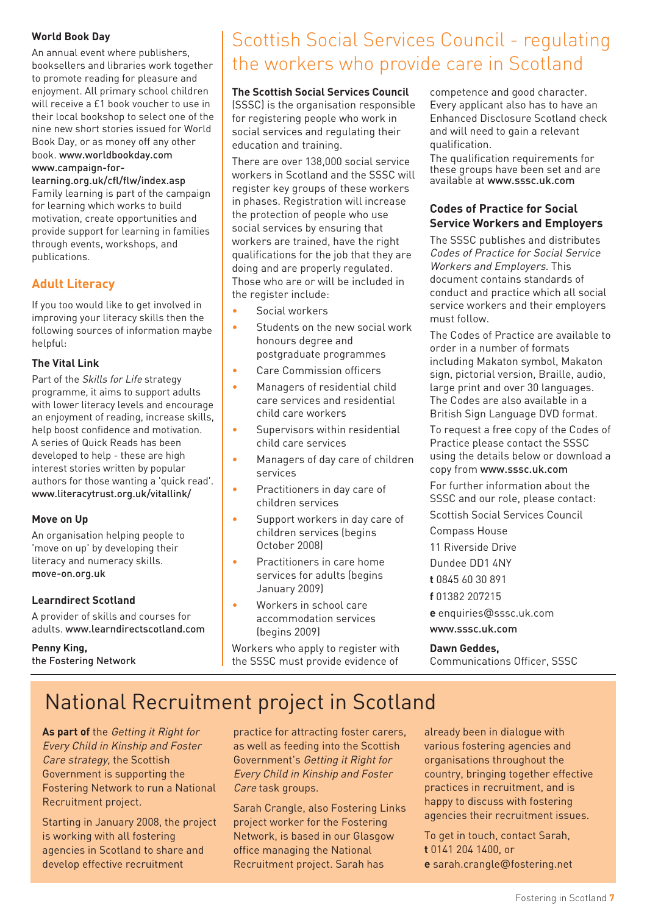#### **World Book Day**

An annual event where publishers, booksellers and libraries work together to promote reading for pleasure and enjoyment. All primary school children will receive a £1 book voucher to use in their local bookshop to select one of the nine new short stories issued for World Book Day, or as money off any other book. www.worldbookday.com www.campaign-for-

#### learning.org.uk/cfl/flw/index.asp Family learning is part of the campaign for learning which works to build motivation, create opportunities and provide support for learning in families through events, workshops, and publications.

#### **Adult Literacy**

If you too would like to get involved in improving your literacy skills then the following sources of information maybe helpful:

#### **The Vital Link**

Part of the Skills for Life strategy programme, it aims to support adults with lower literacy levels and encourage an enjoyment of reading, increase skills, help boost confidence and motivation. A series of Quick Reads has been developed to help - these are high interest stories written by popular authors for those wanting a 'quick read'. www.literacytrust.org.uk/vitallink/

#### **Move on Up**

An organisation helping people to 'move on up' by developing their literacy and numeracy skills. move-on.org.uk

#### **Learndirect Scotland**

A provider of skills and courses for adults. www.learndirectscotland.com

#### **Penny King,** the Fostering Network

## Scottish Social Services Council - regulating the workers who provide care in Scotland

#### **The Scottish Social Services Council**

(SSSC) is the organisation responsible for registering people who work in social services and regulating their education and training.

There are over 138,000 social service workers in Scotland and the SSSC will register key groups of these workers in phases. Registration will increase the protection of people who use social services by ensuring that workers are trained, have the right qualifications for the job that they are doing and are properly regulated. Those who are or will be included in the register include:

- Social workers
- Students on the new social work honours degree and postgraduate programmes
- Care Commission officers
- Managers of residential child care services and residential child care workers
- Supervisors within residential child care services
- Managers of day care of children services
- Practitioners in day care of children services
- Support workers in day care of children services (begins October 2008)
- Practitioners in care home services for adults (begins January 2009)
- Workers in school care accommodation services (begins 2009)

Workers who apply to register with the SSSC must provide evidence of competence and good character. Every applicant also has to have an Enhanced Disclosure Scotland check and will need to gain a relevant qualification.

The qualification requirements for these groups have been set and are available at www.sssc.uk.com

#### **Codes of Practice for Social Service Workers and Employers**

The SSSC publishes and distributes Codes of Practice for Social Service Workers and Employers. This document contains standards of conduct and practice which all social service workers and their employers must follow.

The Codes of Practice are available to order in a number of formats including Makaton symbol, Makaton sign, pictorial version, Braille, audio, large print and over 30 languages. The Codes are also available in a British Sign Language DVD format.

To request a free copy of the Codes of Practice please contact the SSSC using the details below or download a copy from www.sssc.uk.com

For further information about the SSSC and our role, please contact:

Scottish Social Services Council

Compass House

11 Riverside Drive

Dundee DD1 4NY

**t** 0845 60 30 891

**f** 01382 207215

**e** enquiries@sssc.uk.com

www.sssc.uk.com

#### **Dawn Geddes,**

Communications Officer, SSSC

## National Recruitment project in Scotland

**As part of** the Getting it Right for Every Child in Kinship and Foster Care strategy, the Scottish Government is supporting the Fostering Network to run a National Recruitment project.

Starting in January 2008, the project is working with all fostering agencies in Scotland to share and develop effective recruitment

practice for attracting foster carers, as well as feeding into the Scottish Government's Getting it Right for Every Child in Kinship and Foster Care task groups.

Sarah Crangle, also Fostering Links project worker for the Fostering Network, is based in our Glasgow office managing the National Recruitment project. Sarah has

already been in dialogue with various fostering agencies and organisations throughout the country, bringing together effective practices in recruitment, and is happy to discuss with fostering agencies their recruitment issues.

To get in touch, contact Sarah, **t** 0141 204 1400, or

**e** sarah.crangle@fostering.net